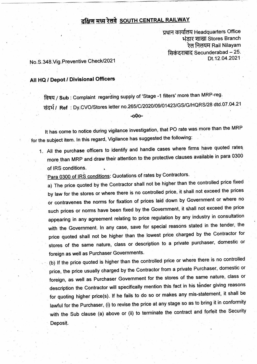## <u>दक्षिण मध्य रेलवे SOUTH CENTRAL RAILWAY</u>

प्रधान कार्यालय Headquarters Office भंडार शाखा Stores Branch रेल निलयम Rail Nilayam सिकंदराबाद Secunderabad - 25. Dt.12.04.2021

No.S.348.Vig.Preventive Check/2021

## All HQ / Depot / Divisional Officers

तिषय / Sub : Complaint regarding supply of 'Stage -1 filters' more than MRP-reg. संदर्भ / Ref : Dy.CVO/Stores letter no.265/C/2020/09/01423/GS/G/HQRS/28 dtd.07.04.21

/ .o00.,

It has come to notice during vigilance investigation, that PO rate was more than the MRP for the subject item. In this regard, Vigilance has suggested the following:

1. All the purchase officers to identify and handle cases where firms have quoted rates more than MRP and draw their attention to the protective clauses available in para 0300 of lRS conditions. .

Para 0300 of IRS conditions: Quotations of rates by Contractors.

a) The price quoted by the Contractor shall not be higher than the controlled price fixed by law for the stores or where there is no controlled price, it shall not exceed the prices or contravenes the norms for fixation of prices laid down by Government or where no such prices or norms have been fixed by the Government, it shall not exceed the price appearing in any agreement relating to price regulation by any industry in consultation with the Government. In any case, save for special reasons stated in the tender, the price quoted shall not be higher than the lowest price charged by the Contractor for stores of the same nature, class or description to a private purchaser, domestic or foreign as well as Purchaser Governments.

(b) If the price quoted is higher than the controlled price or where there is no controlled price, the price usually charged by the Contractor from a private Purchaser, domestic or foreign, as well as Purchaser Government for the stores of the same nature, class or description the Contractor will specifically mention this fact in his tender giving reasons for quoting higher price(s). If he fails to do so or makes any mis-statement, it shall be lawful for the Purchaser, (i) to revise the price at any stage so as to bring it in conformity with the Sub clause (a) above or (ii) to terminate the contract and forfeit the Security Deposit.